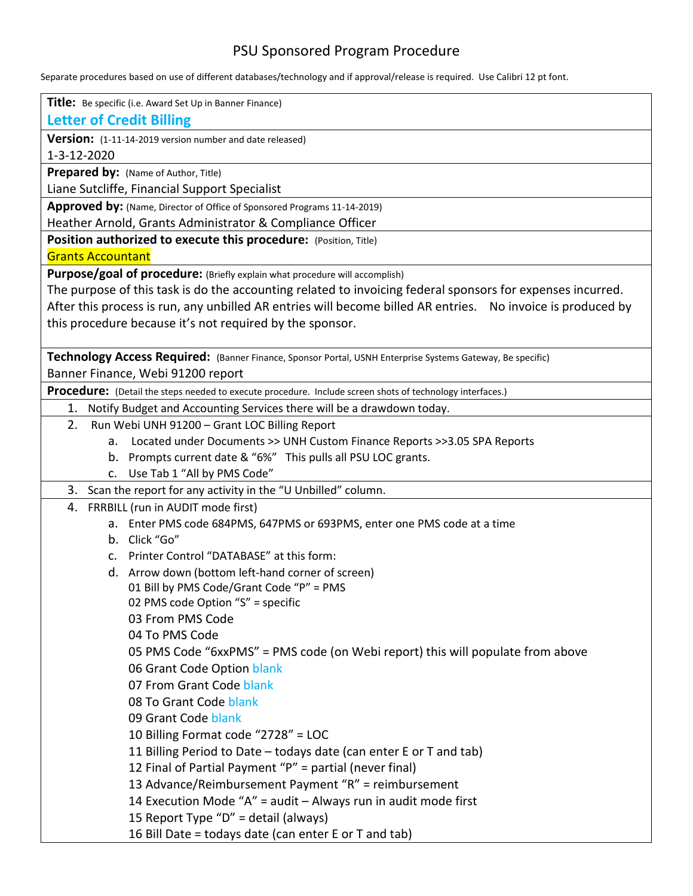# PSU Sponsored Program Procedure

Separate procedures based on use of different databases/technology and if approval/release is required. Use Calibri 12 pt font.

| Title: Be specific (i.e. Award Set Up in Banner Finance)                                                                                                                                                                  |
|---------------------------------------------------------------------------------------------------------------------------------------------------------------------------------------------------------------------------|
| <b>Letter of Credit Billing</b>                                                                                                                                                                                           |
| Version: (1-11-14-2019 version number and date released)                                                                                                                                                                  |
| 1-3-12-2020                                                                                                                                                                                                               |
| Prepared by: (Name of Author, Title)                                                                                                                                                                                      |
| Liane Sutcliffe, Financial Support Specialist                                                                                                                                                                             |
| Approved by: (Name, Director of Office of Sponsored Programs 11-14-2019)                                                                                                                                                  |
| Heather Arnold, Grants Administrator & Compliance Officer                                                                                                                                                                 |
| Position authorized to execute this procedure: (Position, Title)                                                                                                                                                          |
| <b>Grants Accountant</b>                                                                                                                                                                                                  |
| Purpose/goal of procedure: (Briefly explain what procedure will accomplish)                                                                                                                                               |
| The purpose of this task is do the accounting related to invoicing federal sponsors for expenses incurred.<br>After this process is run, any unbilled AR entries will become billed AR entries. No invoice is produced by |
| this procedure because it's not required by the sponsor.                                                                                                                                                                  |
|                                                                                                                                                                                                                           |
| Technology Access Required: (Banner Finance, Sponsor Portal, USNH Enterprise Systems Gateway, Be specific)                                                                                                                |
| Banner Finance, Webi 91200 report                                                                                                                                                                                         |
| Procedure: (Detail the steps needed to execute procedure. Include screen shots of technology interfaces.)                                                                                                                 |
| 1. Notify Budget and Accounting Services there will be a drawdown today.                                                                                                                                                  |
| 2.<br>Run Webi UNH 91200 - Grant LOC Billing Report                                                                                                                                                                       |
| Located under Documents >> UNH Custom Finance Reports >>3.05 SPA Reports<br>a.                                                                                                                                            |
| b. Prompts current date & "6%" This pulls all PSU LOC grants.                                                                                                                                                             |
| c. Use Tab 1 "All by PMS Code"                                                                                                                                                                                            |
| 3. Scan the report for any activity in the "U Unbilled" column.                                                                                                                                                           |
| 4. FRRBILL (run in AUDIT mode first)                                                                                                                                                                                      |
| a. Enter PMS code 684PMS, 647PMS or 693PMS, enter one PMS code at a time                                                                                                                                                  |
| b. Click "Go"                                                                                                                                                                                                             |
| Printer Control "DATABASE" at this form:<br>$\mathsf{C}$ .                                                                                                                                                                |
| d. Arrow down (bottom left-hand corner of screen)                                                                                                                                                                         |
| 01 Bill by PMS Code/Grant Code "P" = PMS                                                                                                                                                                                  |
| 02 PMS code Option "S" = specific                                                                                                                                                                                         |
| 03 From PMS Code                                                                                                                                                                                                          |
| 04 To PMS Code                                                                                                                                                                                                            |
| 05 PMS Code "6xxPMS" = PMS code (on Webi report) this will populate from above                                                                                                                                            |
| 06 Grant Code Option blank                                                                                                                                                                                                |
| 07 From Grant Code blank                                                                                                                                                                                                  |
| 08 To Grant Code blank                                                                                                                                                                                                    |
| 09 Grant Code blank                                                                                                                                                                                                       |
| 10 Billing Format code "2728" = LOC                                                                                                                                                                                       |
| 11 Billing Period to Date - todays date (can enter E or T and tab)                                                                                                                                                        |
| 12 Final of Partial Payment "P" = partial (never final)                                                                                                                                                                   |
| 13 Advance/Reimbursement Payment "R" = reimbursement                                                                                                                                                                      |
| 14 Execution Mode "A" = audit - Always run in audit mode first                                                                                                                                                            |
| 15 Report Type "D" = detail (always)                                                                                                                                                                                      |
| 16 Bill Date = todays date (can enter E or T and tab)                                                                                                                                                                     |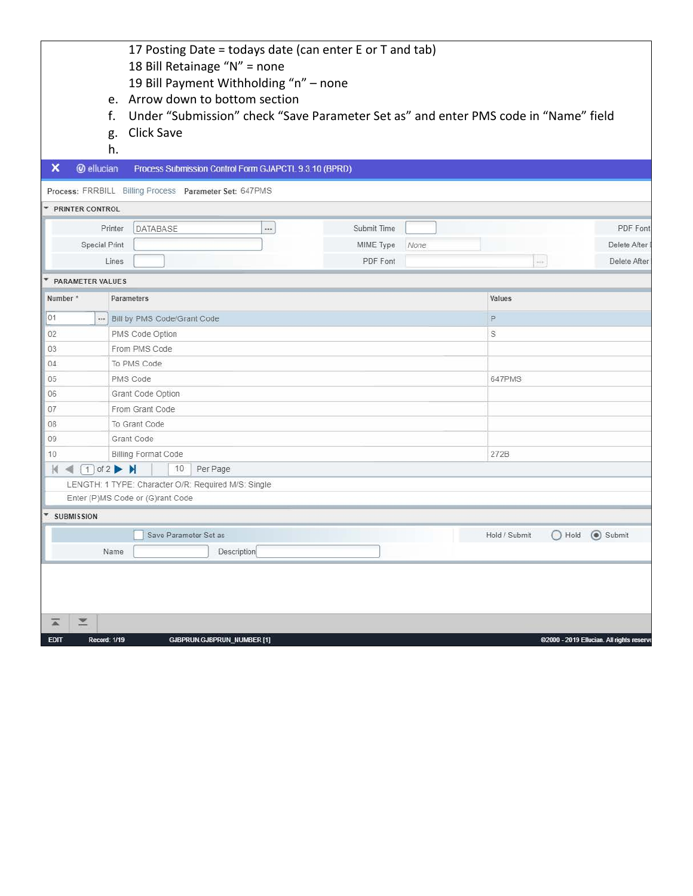|   |                   | 17 Posting Date = todays date (can enter E or T and tab)                               |
|---|-------------------|----------------------------------------------------------------------------------------|
|   |                   | 18 Bill Retainage "N" = none                                                           |
|   |                   | 19 Bill Payment Withholding "n" - none                                                 |
|   |                   | e. Arrow down to bottom section                                                        |
|   |                   | f. Under "Submission" check "Save Parameter Set as" and enter PMS code in "Name" field |
|   |                   | g. Click Save                                                                          |
|   | h.                |                                                                                        |
| × | <b>@</b> ellucian | Process Submission Control Form GJAPCTL 9.3.10 (BPRD)                                  |
|   |                   |                                                                                        |

Process: FRRBILL Billing Process Parameter Set: 647PMS

 $\mathbb{L}$ 

| Printer              | DATABASE | <br>Submit Time |      |                   | PDF Font     |
|----------------------|----------|-----------------|------|-------------------|--------------|
| <b>Special Print</b> |          | MIME Type       | None |                   | Delete After |
| Lines                |          | PDF Font        |      | <b>Contractor</b> | Delete After |

| Number*                                       | Parameters                       |                                                     | Values                                         |  |  |  |
|-----------------------------------------------|----------------------------------|-----------------------------------------------------|------------------------------------------------|--|--|--|
| 01                                            | $\ldots$                         | Bill by PMS Code/Grant Code                         | P                                              |  |  |  |
| 02                                            | PMS Code Option                  |                                                     | S                                              |  |  |  |
| 03                                            | From PMS Code                    |                                                     |                                                |  |  |  |
| 04                                            | To PMS Code                      |                                                     |                                                |  |  |  |
| 05                                            | PMS Code                         |                                                     | 647PMS                                         |  |  |  |
| 06                                            | Grant Code Option                |                                                     |                                                |  |  |  |
| 07                                            | From Grant Code                  |                                                     |                                                |  |  |  |
| 08                                            | To Grant Code                    |                                                     |                                                |  |  |  |
| 09                                            | Grant Code                       |                                                     |                                                |  |  |  |
| 10                                            | Billing Format Code              |                                                     | 272B                                           |  |  |  |
| $M \triangleleft (T)$ of 2 $M$                |                                  | 10<br>Per Page                                      |                                                |  |  |  |
|                                               |                                  | LENGTH: 1 TYPE: Character O/R: Required M/S: Single |                                                |  |  |  |
|                                               | Enter (P)MS Code or (G)rant Code |                                                     |                                                |  |  |  |
| $\overline{\phantom{a}}$<br><b>SUBMISSION</b> |                                  |                                                     |                                                |  |  |  |
|                                               |                                  | Save Parameter Set as                               | (a) Submit<br>$\bigcirc$ Hold<br>Hold / Submit |  |  |  |
|                                               | Name                             | Description                                         |                                                |  |  |  |

| <b>EDIT</b> | Record: 1/19 | <b>GJBPRUN.GJBPRUN_NUMBER [1]</b> | ©2000 - 2019 Ellucian. All rights reserv |
|-------------|--------------|-----------------------------------|------------------------------------------|
|             | THE          |                                   |                                          |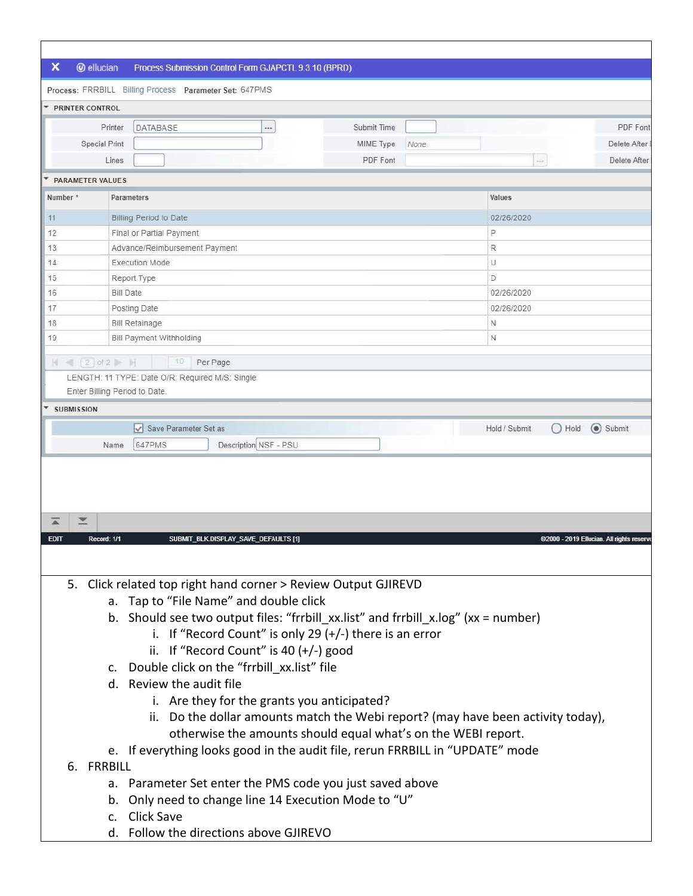## X @ ellucian Process Submission Control Form GJAPCTL 9.3.10 (BPRD)

| * PRINTER CONTROL      |                                                 |                   |                                     |              |  |  |  |
|------------------------|-------------------------------------------------|-------------------|-------------------------------------|--------------|--|--|--|
|                        | DATABASE<br>Printer<br>$\cdots$                 | Submit Time       |                                     | PDF Font     |  |  |  |
|                        | <b>Special Print</b>                            | MIME Type<br>None |                                     | Delete After |  |  |  |
|                        | Lines                                           | PDF Font          | $\rightarrow$ 0.0                   | Delete After |  |  |  |
| PARAMETER VALUES       |                                                 |                   |                                     |              |  |  |  |
| Number*                | <b>Parameters</b>                               |                   | Values                              |              |  |  |  |
| 11                     | Billing Period to Date                          |                   | 02/26/2020                          |              |  |  |  |
| 12                     | Final or Partial Payment                        | P                 |                                     |              |  |  |  |
| 13                     | Advance/Reimbursement Payment                   | R                 |                                     |              |  |  |  |
| 14                     | <b>Execution Mode</b>                           |                   | U                                   |              |  |  |  |
| 15                     | Report Type                                     |                   | D                                   |              |  |  |  |
| 16                     | <b>Bill Date</b>                                |                   | 02/26/2020                          |              |  |  |  |
| 17                     | Posting Date                                    |                   | 02/26/2020                          |              |  |  |  |
| 18                     | <b>Bill Retainage</b>                           |                   | N                                   |              |  |  |  |
| 19                     | Bill Payment Withholding                        |                   | $\mathbb{N}$                        |              |  |  |  |
|                        | 10<br>$N = 2$ of 2 $M$<br>Per Page              |                   |                                     |              |  |  |  |
|                        | LENGTH: 11 TYPE: Date O/R: Required M/S: Single |                   |                                     |              |  |  |  |
|                        | Enter Billing Period to Date.                   |                   |                                     |              |  |  |  |
| ۳<br><b>SUBMISSION</b> |                                                 |                   |                                     |              |  |  |  |
|                        | Save Parameter Set as                           |                   | Hold / Submit<br>$\bigcirc$<br>Hold | Submit       |  |  |  |
|                        | Description NSF - PSU<br>647PMS<br>Name         |                   |                                     |              |  |  |  |

| <b>EDIT</b> |    | Record: 1/1 | SUBMIT_BLK.DISPLAY_SAVE_DEFAULTS [1]<br>@2000 - 2019 Ellucian, All rights reserve      |
|-------------|----|-------------|----------------------------------------------------------------------------------------|
|             |    |             |                                                                                        |
|             |    |             | 5. Click related top right hand corner > Review Output GJIREVD                         |
|             |    |             | a. Tap to "File Name" and double click                                                 |
|             |    |             | b. Should see two output files: "frrbill xx.list" and frrbill x.log" ( $xx = number$ ) |
|             |    |             | i. If "Record Count" is only 29 $(+/-)$ there is an error                              |
|             |    |             | ii. If "Record Count" is 40 $(+/-)$ good                                               |
|             |    |             | c. Double click on the "frrbill xx.list" file                                          |
|             |    |             | d. Review the audit file                                                               |
|             |    |             | i. Are they for the grants you anticipated?                                            |
|             |    |             | ii. Do the dollar amounts match the Webi report? (may have been activity today),       |
|             |    |             | otherwise the amounts should equal what's on the WEBI report.                          |
|             |    |             | e. If everything looks good in the audit file, rerun FRRBILL in "UPDATE" mode          |
|             | 6. | FRRBILL     |                                                                                        |
|             |    | a.          | Parameter Set enter the PMS code you just saved above                                  |
|             |    | b.          | Only need to change line 14 Execution Mode to "U"                                      |
|             |    | $C_{\cdot}$ | Click Save                                                                             |
|             |    |             | d. Follow the directions above GJIREVO                                                 |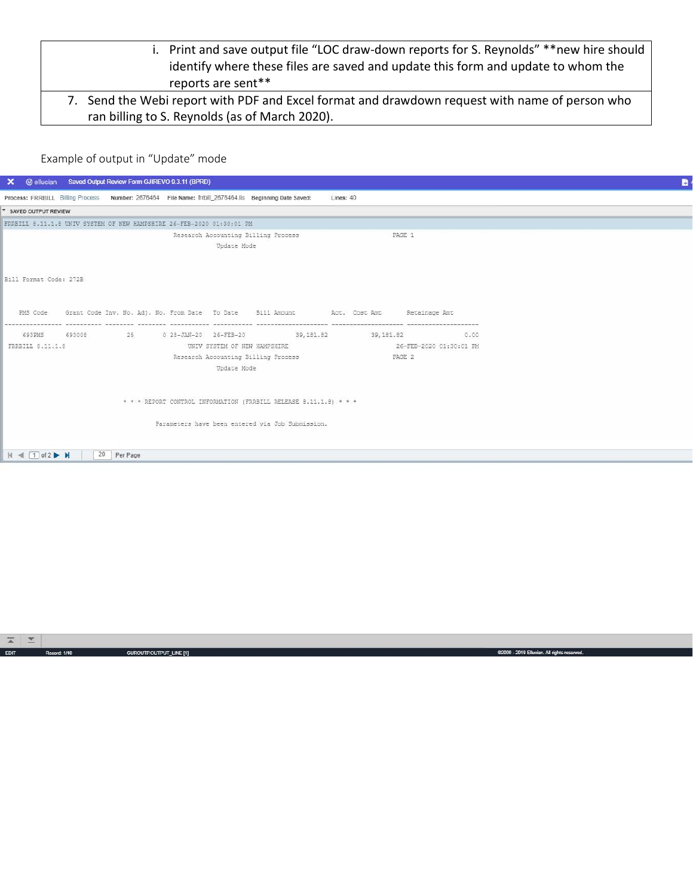- i. Print and save output file "LOC draw-down reports for S. Reynolds" \*\*new hire should identify where these files are saved and update this form and update to whom the reports are sent\*\*
- 7. Send the Webi report with PDF and Excel format and drawdown request with name of person who ran billing to S. Reynolds (as of March 2020).

# Example of output in "Update" mode

| $\times$                        | @ ellucian Saved Output Review Form GJIREVO 9.3.11 (BPRD) |                                                                       |                                                                                                       |                          |                         |  | n |
|---------------------------------|-----------------------------------------------------------|-----------------------------------------------------------------------|-------------------------------------------------------------------------------------------------------|--------------------------|-------------------------|--|---|
|                                 |                                                           |                                                                       | Process: FRRBILL Billing Process Number: 2676464 File Name: frrbill 2676464.lis Beginning Date Saved: | Lines: 40                |                         |  |   |
| * SAVED OUTPUT REVIEW           |                                                           |                                                                       |                                                                                                       |                          |                         |  |   |
|                                 |                                                           | FRRBILL 8.11.1.8 UNIV SYSTEM OF NEW HAMPSHIRE 26-FEB-2020 01:30:01 PM |                                                                                                       |                          |                         |  |   |
|                                 |                                                           |                                                                       | Research Accounting Billing Process<br>Update Mode                                                    |                          | PAGE 1                  |  |   |
| Bill Format Code: 272B          |                                                           |                                                                       |                                                                                                       |                          |                         |  |   |
| PMS Code                        |                                                           |                                                                       | Grant Code Inv. No. Adj. No. From Date To Date Bill Amount . Act. Cost Amt . Retainage Amt            |                          |                         |  |   |
| 693PMS                          |                                                           | 693008 25 0 28-JAN-20 26-FEB-20                                       |                                                                                                       | 39,181.82 39,181.82 0.00 |                         |  |   |
| FRRBILL 8.11.1.8                |                                                           |                                                                       | UNIV SYSTEM OF NEW HAMPSHIRE                                                                          |                          | 26-FEB-2020 01:30:01 PM |  |   |
|                                 |                                                           |                                                                       | Research Accounting Billing Process<br>Update Mode                                                    |                          | PAGE 2                  |  |   |
|                                 |                                                           |                                                                       | * * * REPORT CONTROL INFORMATION (FRRBILL RELEASE 8.11.1.8) * * *                                     |                          |                         |  |   |
|                                 |                                                           |                                                                       | Parameters have been entered via Job Submission.                                                      |                          |                         |  |   |
| $M \triangleleft \Box$ of 2 $M$ | 20 Per Page                                               |                                                                       |                                                                                                       |                          |                         |  |   |
|                                 |                                                           |                                                                       |                                                                                                       |                          |                         |  |   |

| <b>Commer</b> | <b>The County</b><br>$-$ |              |                         |                                              |
|---------------|--------------------------|--------------|-------------------------|----------------------------------------------|
| EDIT.         |                          | Record: 1/40 | GUROUTP.OUTPUT_LINE [1] | 6/2000 - 2019 Ellucian. All rights reserved. |